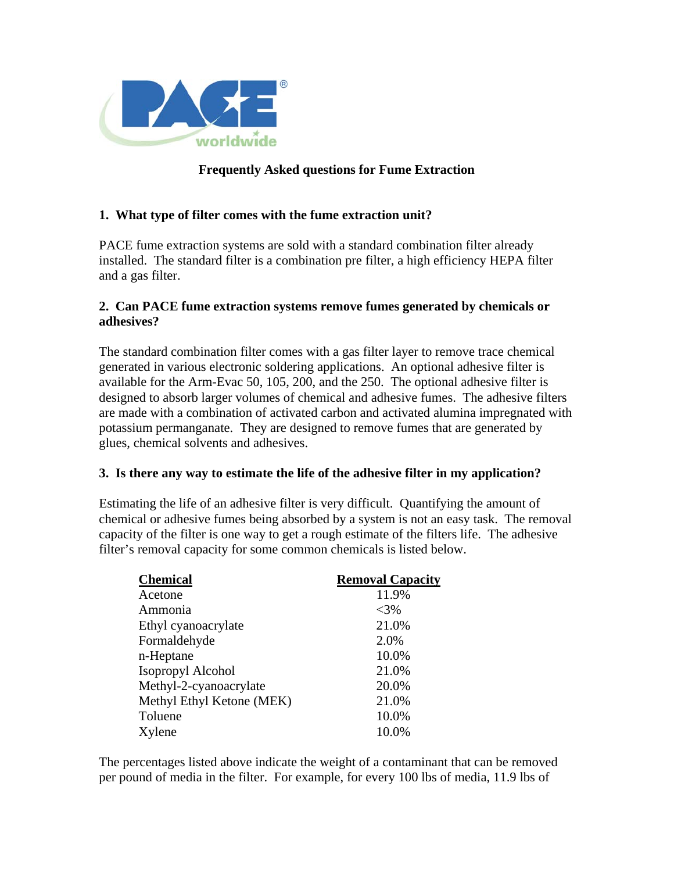

## **Frequently Asked questions for Fume Extraction**

## **1. What type of filter comes with the fume extraction unit?**

PACE fume extraction systems are sold with a standard combination filter already installed. The standard filter is a combination pre filter, a high efficiency HEPA filter and a gas filter.

## **2. Can PACE fume extraction systems remove fumes generated by chemicals or adhesives?**

The standard combination filter comes with a gas filter layer to remove trace chemical generated in various electronic soldering applications. An optional adhesive filter is available for the Arm-Evac 50, 105, 200, and the 250. The optional adhesive filter is designed to absorb larger volumes of chemical and adhesive fumes. The adhesive filters are made with a combination of activated carbon and activated alumina impregnated with potassium permanganate. They are designed to remove fumes that are generated by glues, chemical solvents and adhesives.

#### **3. Is there any way to estimate the life of the adhesive filter in my application?**

Estimating the life of an adhesive filter is very difficult. Quantifying the amount of chemical or adhesive fumes being absorbed by a system is not an easy task. The removal capacity of the filter is one way to get a rough estimate of the filters life. The adhesive filter's removal capacity for some common chemicals is listed below.

| <b>Chemical</b>           | <b>Removal Capacity</b> |
|---------------------------|-------------------------|
| Acetone                   | 11.9%                   |
| Ammonia                   | $<$ 3%                  |
| Ethyl cyanoacrylate       | 21.0%                   |
| Formaldehyde              | 2.0%                    |
| n-Heptane                 | 10.0%                   |
| Isopropyl Alcohol         | 21.0%                   |
| Methyl-2-cyanoacrylate    | 20.0%                   |
| Methyl Ethyl Ketone (MEK) | 21.0%                   |
| Toluene                   | 10.0%                   |
| Xylene                    | 10.0%                   |

The percentages listed above indicate the weight of a contaminant that can be removed per pound of media in the filter. For example, for every 100 lbs of media, 11.9 lbs of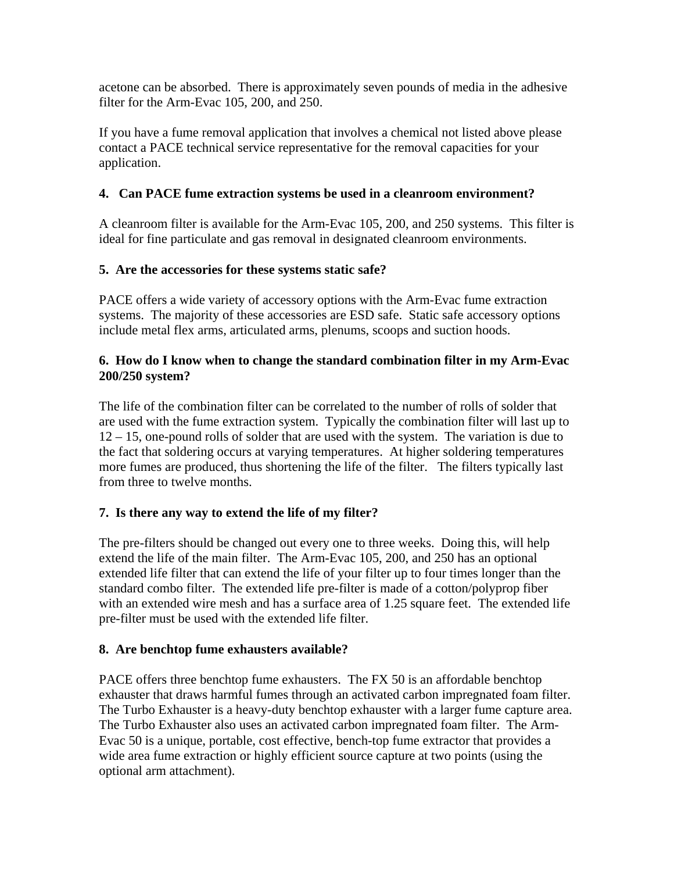acetone can be absorbed. There is approximately seven pounds of media in the adhesive filter for the Arm-Evac 105, 200, and 250.

If you have a fume removal application that involves a chemical not listed above please contact a PACE technical service representative for the removal capacities for your application.

## **4. Can PACE fume extraction systems be used in a cleanroom environment?**

A cleanroom filter is available for the Arm-Evac 105, 200, and 250 systems. This filter is ideal for fine particulate and gas removal in designated cleanroom environments.

## **5. Are the accessories for these systems static safe?**

PACE offers a wide variety of accessory options with the Arm-Evac fume extraction systems. The majority of these accessories are ESD safe. Static safe accessory options include metal flex arms, articulated arms, plenums, scoops and suction hoods.

## **6. How do I know when to change the standard combination filter in my Arm-Evac 200/250 system?**

The life of the combination filter can be correlated to the number of rolls of solder that are used with the fume extraction system. Typically the combination filter will last up to 12 – 15, one-pound rolls of solder that are used with the system. The variation is due to the fact that soldering occurs at varying temperatures. At higher soldering temperatures more fumes are produced, thus shortening the life of the filter. The filters typically last from three to twelve months.

## **7. Is there any way to extend the life of my filter?**

The pre-filters should be changed out every one to three weeks. Doing this, will help extend the life of the main filter. The Arm-Evac 105, 200, and 250 has an optional extended life filter that can extend the life of your filter up to four times longer than the standard combo filter. The extended life pre-filter is made of a cotton/polyprop fiber with an extended wire mesh and has a surface area of 1.25 square feet. The extended life pre-filter must be used with the extended life filter.

## **8. Are benchtop fume exhausters available?**

PACE offers three benchtop fume exhausters. The FX 50 is an affordable benchtop exhauster that draws harmful fumes through an activated carbon impregnated foam filter. The Turbo Exhauster is a heavy-duty benchtop exhauster with a larger fume capture area. The Turbo Exhauster also uses an activated carbon impregnated foam filter. The Arm-Evac 50 is a unique, portable, cost effective, bench-top fume extractor that provides a wide area fume extraction or highly efficient source capture at two points (using the optional arm attachment).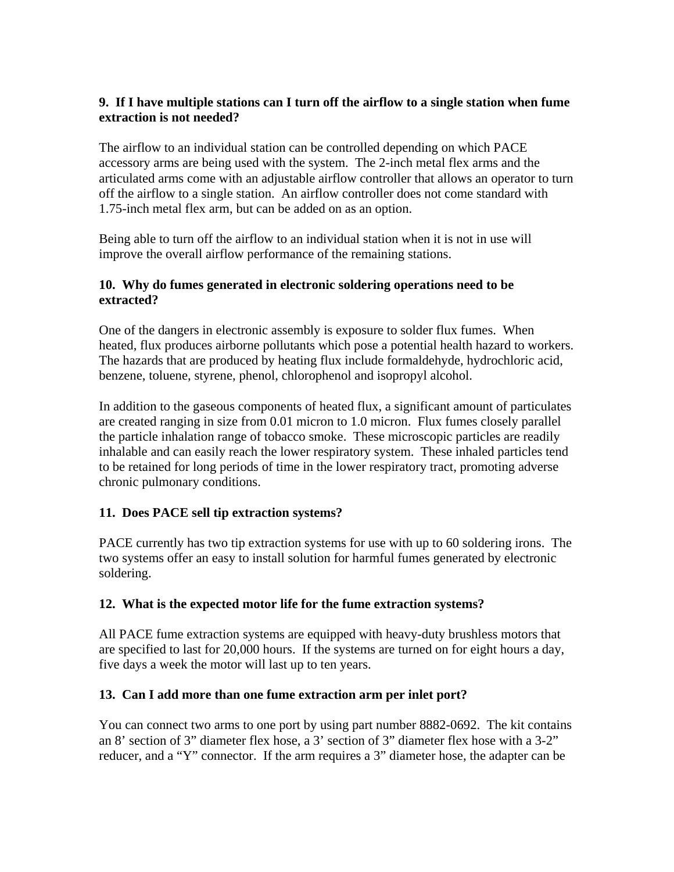## **9. If I have multiple stations can I turn off the airflow to a single station when fume extraction is not needed?**

The airflow to an individual station can be controlled depending on which PACE accessory arms are being used with the system. The 2-inch metal flex arms and the articulated arms come with an adjustable airflow controller that allows an operator to turn off the airflow to a single station. An airflow controller does not come standard with 1.75-inch metal flex arm, but can be added on as an option.

Being able to turn off the airflow to an individual station when it is not in use will improve the overall airflow performance of the remaining stations.

## **10. Why do fumes generated in electronic soldering operations need to be extracted?**

One of the dangers in electronic assembly is exposure to solder flux fumes. When heated, flux produces airborne pollutants which pose a potential health hazard to workers. The hazards that are produced by heating flux include formaldehyde, hydrochloric acid, benzene, toluene, styrene, phenol, chlorophenol and isopropyl alcohol.

In addition to the gaseous components of heated flux, a significant amount of particulates are created ranging in size from 0.01 micron to 1.0 micron. Flux fumes closely parallel the particle inhalation range of tobacco smoke. These microscopic particles are readily inhalable and can easily reach the lower respiratory system. These inhaled particles tend to be retained for long periods of time in the lower respiratory tract, promoting adverse chronic pulmonary conditions.

## **11. Does PACE sell tip extraction systems?**

PACE currently has two tip extraction systems for use with up to 60 soldering irons. The two systems offer an easy to install solution for harmful fumes generated by electronic soldering.

## **12. What is the expected motor life for the fume extraction systems?**

All PACE fume extraction systems are equipped with heavy-duty brushless motors that are specified to last for 20,000 hours. If the systems are turned on for eight hours a day, five days a week the motor will last up to ten years.

## **13. Can I add more than one fume extraction arm per inlet port?**

You can connect two arms to one port by using part number 8882-0692. The kit contains an 8' section of 3" diameter flex hose, a 3' section of 3" diameter flex hose with a 3-2" reducer, and a "Y" connector. If the arm requires a 3" diameter hose, the adapter can be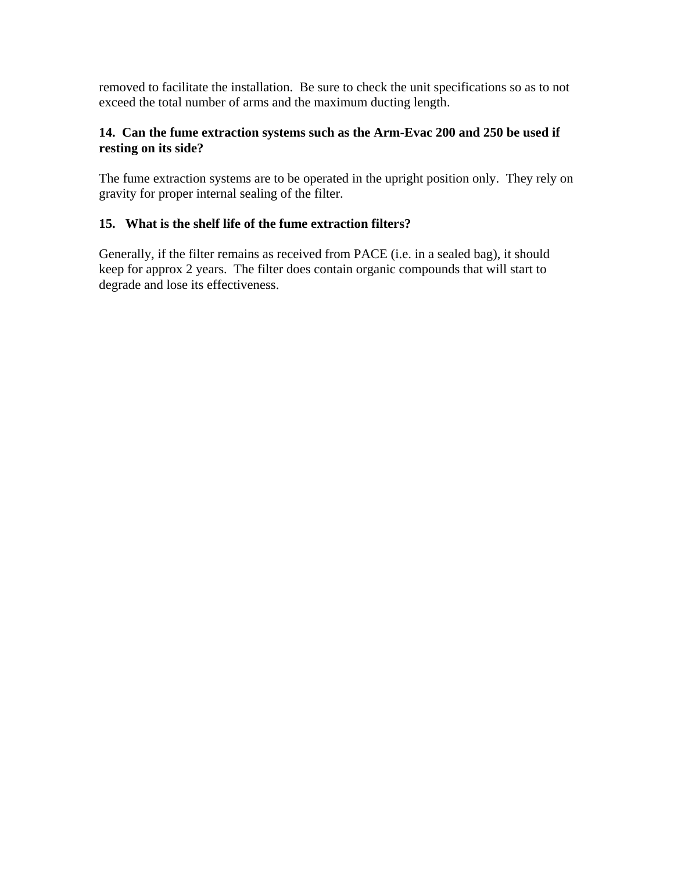removed to facilitate the installation. Be sure to check the unit specifications so as to not exceed the total number of arms and the maximum ducting length.

## **14. Can the fume extraction systems such as the Arm-Evac 200 and 250 be used if resting on its side?**

The fume extraction systems are to be operated in the upright position only. They rely on gravity for proper internal sealing of the filter.

## **15. What is the shelf life of the fume extraction filters?**

Generally, if the filter remains as received from PACE (i.e. in a sealed bag), it should keep for approx 2 years. The filter does contain organic compounds that will start to degrade and lose its effectiveness.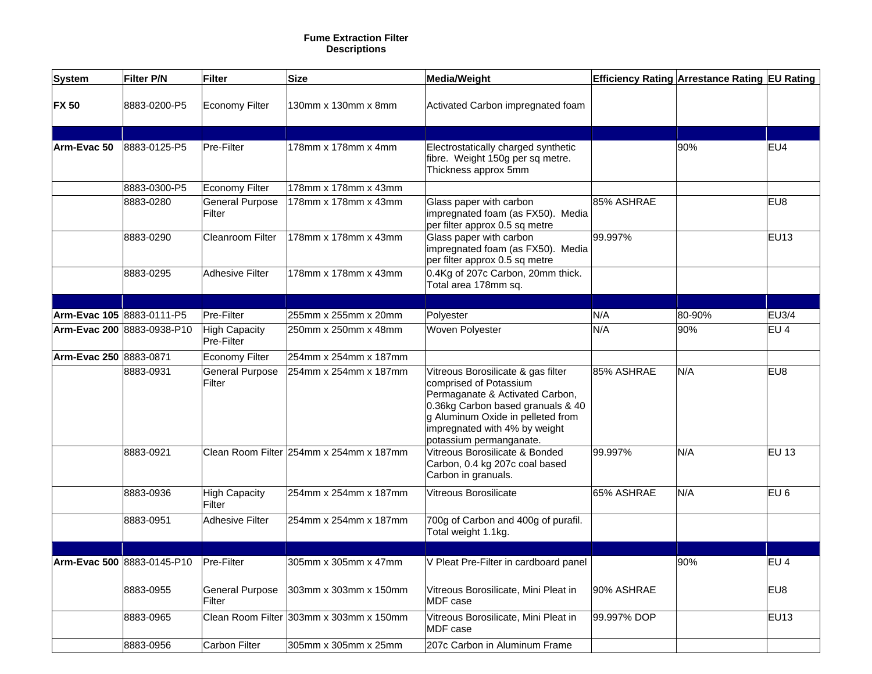#### **Fume Extraction Filter Descriptions**

| <b>System</b>          | <b>Filter P/N</b>                     | <b>Filter</b>                      | <b>Size</b>                             | <b>Media/Weight</b>                                                                                                                                                                                                                   |             | Efficiency Rating Arrestance Rating EU Rating |                  |
|------------------------|---------------------------------------|------------------------------------|-----------------------------------------|---------------------------------------------------------------------------------------------------------------------------------------------------------------------------------------------------------------------------------------|-------------|-----------------------------------------------|------------------|
|                        |                                       |                                    |                                         |                                                                                                                                                                                                                                       |             |                                               |                  |
| <b>FX 50</b>           | 8883-0200-P5                          | <b>Economy Filter</b>              | 130mm x 130mm x 8mm                     | Activated Carbon impregnated foam                                                                                                                                                                                                     |             |                                               |                  |
|                        |                                       |                                    |                                         |                                                                                                                                                                                                                                       |             |                                               |                  |
| Arm-Evac 50            | 8883-0125-P5                          | Pre-Filter                         | 178mm x 178mm x 4mm                     | Electrostatically charged synthetic<br>fibre. Weight 150g per sq metre.<br>Thickness approx 5mm                                                                                                                                       |             | 90%                                           | EU4              |
|                        | 8883-0300-P5                          | <b>Economy Filter</b>              | 178mm x 178mm x 43mm                    |                                                                                                                                                                                                                                       |             |                                               |                  |
|                        | 8883-0280                             | <b>General Purpose</b><br>Filter   | 178mm x 178mm x 43mm                    | Glass paper with carbon<br>impregnated foam (as FX50). Media<br>per filter approx 0.5 sq metre                                                                                                                                        | 85% ASHRAE  |                                               | EU8              |
|                        | 8883-0290                             | <b>Cleanroom Filter</b>            | 178mm x 178mm x 43mm                    | Glass paper with carbon<br>impregnated foam (as FX50). Media<br>per filter approx 0.5 sq metre                                                                                                                                        | 99.997%     |                                               | <b>EU13</b>      |
|                        | 8883-0295                             | <b>Adhesive Filter</b>             | 178mm x 178mm x 43mm                    | 0.4Kg of 207c Carbon, 20mm thick.<br>Total area 178mm sq.                                                                                                                                                                             |             |                                               |                  |
|                        |                                       |                                    |                                         |                                                                                                                                                                                                                                       |             |                                               |                  |
|                        | Arm-Evac 105 8883-0111-P5             | Pre-Filter                         | 255mm x 255mm x 20mm                    | Polyester                                                                                                                                                                                                                             | N/A         | 80-90%                                        | <b>EU3/4</b>     |
|                        | Arm-Evac 200 8883-0938-P10            | <b>High Capacity</b><br>Pre-Filter | 250mm x 250mm x 48mm                    | Woven Polyester                                                                                                                                                                                                                       | N/A         | 90%                                           | EU <sub>4</sub>  |
| Arm-Evac 250 8883-0871 |                                       | <b>Economy Filter</b>              | 254mm x 254mm x 187mm                   |                                                                                                                                                                                                                                       |             |                                               |                  |
|                        | 8883-0931                             | <b>General Purpose</b><br>Filter   | 254mm x 254mm x 187mm                   | Vitreous Borosilicate & gas filter<br>comprised of Potassium<br>Permaganate & Activated Carbon,<br>0.36kg Carbon based granuals & 40<br>g Aluminum Oxide in pelleted from<br>impregnated with 4% by weight<br>potassium permanganate. | 85% ASHRAE  | N/A                                           | EU8              |
|                        | 8883-0921                             |                                    | Clean Room Filter 254mm x 254mm x 187mm | Vitreous Borosilicate & Bonded<br>Carbon, 0.4 kg 207c coal based<br>Carbon in granuals.                                                                                                                                               | 99.997%     | N/A                                           | <b>EU 13</b>     |
|                        | 8883-0936                             | <b>High Capacity</b><br>Filter     | 254mm x 254mm x 187mm                   | Vitreous Borosilicate                                                                                                                                                                                                                 | 65% ASHRAE  | N/A                                           | EU <sub>6</sub>  |
|                        | 8883-0951                             | <b>Adhesive Filter</b>             | 254mm x 254mm x 187mm                   | 700g of Carbon and 400g of purafil.<br>Total weight 1.1kg.                                                                                                                                                                            |             |                                               |                  |
|                        |                                       |                                    |                                         |                                                                                                                                                                                                                                       |             |                                               |                  |
|                        | Arm-Evac 500 8883-0145-P10 Pre-Filter |                                    | 305mm x 305mm x 47mm                    | V Pleat Pre-Filter in cardboard panel                                                                                                                                                                                                 |             | 90%                                           | EU <sub>4</sub>  |
|                        | 8883-0955                             | <b>General Purpose</b><br>Filter   | 303mm x 303mm x 150mm                   | Vitreous Borosilicate, Mini Pleat in<br>MDF case                                                                                                                                                                                      | 90% ASHRAE  |                                               | EU8              |
|                        | 8883-0965                             |                                    | Clean Room Filter 303mm x 303mm x 150mm | Vitreous Borosilicate, Mini Pleat in<br>MDF case                                                                                                                                                                                      | 99.997% DOP |                                               | EU <sub>13</sub> |
|                        | 8883-0956                             | <b>Carbon Filter</b>               | 305mm x 305mm x 25mm                    | 207c Carbon in Aluminum Frame                                                                                                                                                                                                         |             |                                               |                  |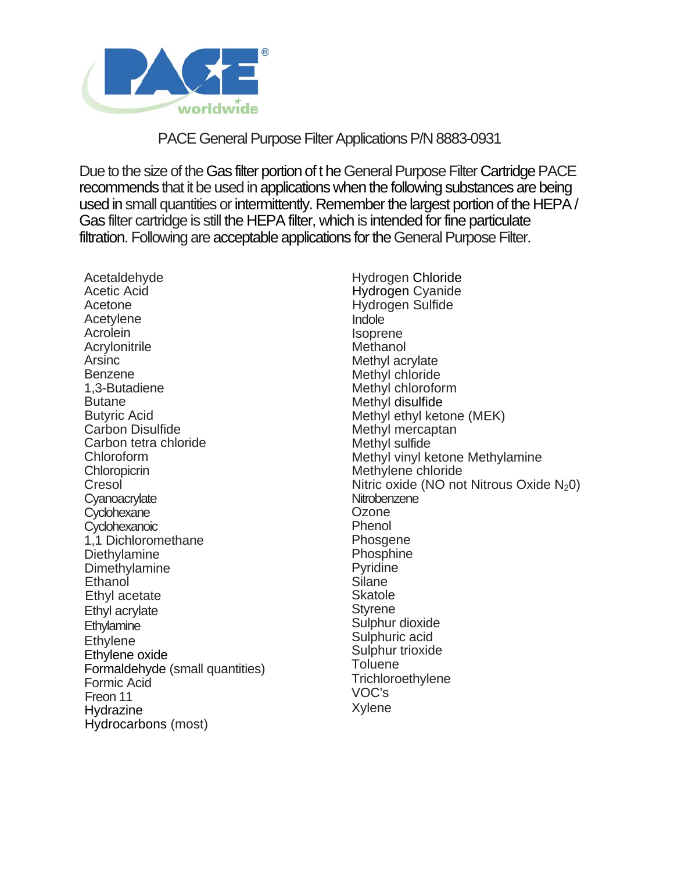

# PACE General Purpose Filter Applications P/N 8883-0931

Due to the size of the Gas filter portion of t he General Purpose Filter Cartridge PACE recommends that it be used in applications when the following substances are being used in small quantities or intermittently. Remember the largest portion of the HEPA / Gas filter cartridge is still the HEPA filter, which is intended for fine particulate filtration. Following are acceptable applications for the General Purpose Filter.

Acetaldehyde Acetic Acid Acetone Acetylene Acrolein Acrylonitrile Arsinc Benzene 1,3-Butadiene **Butane** Butyric Acid Carbon Disulfide Carbon tetra chloride Chloroform **Chloropicrin** Cresol **Cyanoacrylate Cyclohexane Cyclohexanoic** 1,1 Dichloromethane **Diethylamine** Dimethylamine Ethanol Ethyl acetate Ethyl acrylate **Ethylamine Ethylene** Ethylene oxide Formaldehyde (small quantities) Formic Acid Freon 11 Hydrazine Hydrocarbons (most)

Hydrogen Chloride Hydrogen Cyanide Hydrogen Sulfide Indole Isoprene Methanol Methyl acrylate Methyl chloride Methyl chloroform Methyl disulfide Methyl ethyl ketone (MEK) Methyl mercaptan Methyl sulfide Methyl vinyl ketone Methylamine Methylene chloride Nitric oxide (NO not Nitrous Oxide  $N_2$ 0) **Nitrobenzene** Ozone Phenol **Phosgene** Phosphine Pyridine Silane **Skatole Styrene** Sulphur dioxide Sulphuric acid Sulphur trioxide **Toluene Trichloroethylene** VOC's Xylene